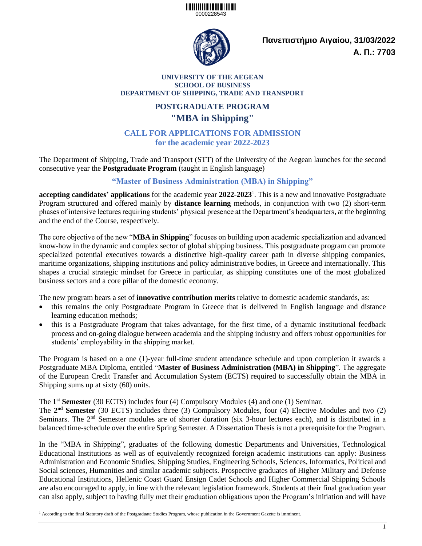### <u> Alban a bhan an 1999 an 1999 an 1999 an 1999 an 1999 an 1999 an 1999 an 1999 an 1999 an 1999 an 1999 an 1999 a</u> 0000228543



**Πανεπιστήµιο Αιγαίου, 31/03/2022 Α. Π.: 7703**

### **UNIVERSITY OF THE AEGEAN SCHOOL OF BUSINESS DEPARTMENT OF SHIPPING, TRADE AND TRANSPORT**

# **POSTGRADUATE PROGRAM "MBA in Shipping"**

### **CALL FOR APPLICATIONS FOR ADMISSION for the academic year 2022-2023**

The Department of Shipping, Trade and Transport (STT) of the University of the Aegean launches for the second consecutive year the **Postgraduate Program** (taught in English language)

## **"Master of Business Administration (MBA) in Shipping"**

**accepting candidates' applications** for the academic year **2022-2023** 1 . This is a new and innovative Postgraduate Program structured and offered mainly by **distance learning** methods, in conjunction with two (2) short-term phases of intensive lectures requiring students' physical presence at the Department's headquarters, at the beginning and the end of the Course, respectively.

The core objective of the new "**MBA in Shipping**" focuses on building upon academic specialization and advanced know-how in the dynamic and complex sector of global shipping business. This postgraduate program can promote specialized potential executives towards a distinctive high-quality career path in diverse shipping companies, maritime organizations, shipping institutions and policy administrative bodies, in Greece and internationally. This shapes a crucial strategic mindset for Greece in particular, as shipping constitutes one of the most globalized business sectors and a core pillar of the domestic economy.

The new program bears a set of **innovative contribution merits** relative to domestic academic standards, as:

- this remains the only Postgraduate Program in Greece that is delivered in English language and distance learning education methods;
- this is a Postgraduate Program that takes advantage, for the first time, of a dynamic institutional feedback process and on-going dialogue between academia and the shipping industry and offers robust opportunities for students' employability in the shipping market.

The Program is based on a one (1)-year full-time student attendance schedule and upon completion it awards a Postgraduate MBA Diploma, entitled "**Master of Business Administration (MBA) in Shipping**". The aggregate of the European Credit Transfer and Accumulation System (ECTS) required to successfully obtain the MBA in Shipping sums up at sixty (60) units.

The 1<sup>st</sup> Semester (30 ECTS) includes four (4) Compulsory Modules (4) and one (1) Seminar.

The **2 nd Semester** (30 ECTS) includes three (3) Compulsory Modules, four (4) Elective Modules and two (2) Seminars. The 2<sup>nd</sup> Semester modules are of shorter duration (six 3-hour lectures each), and is distributed in a balanced time-schedule over the entire Spring Semester. A Dissertation Thesis is not a prerequisite for the Program.

In the "MBA in Shipping", graduates of the following domestic Departments and Universities, Technological Educational Institutions as well as of equivalently recognized foreign academic institutions can apply: Business Administration and Economic Studies, Shipping Studies, Engineering Schools, Sciences, Informatics, Political and Social sciences, Humanities and similar academic subjects. Prospective graduates of Higher Military and Defense Educational Institutions, Hellenic Coast Guard Ensign Cadet Schools and Higher Commercial Shipping Schools are also encouraged to apply, in line with the relevant legislation framework. Students at their final graduation year can also apply, subject to having fully met their graduation obligations upon the Program's initiation and will have

l <sup>1</sup> According to the final Statutory draft of the Postgraduate Studies Program, whose publication in the Government Gazette is imminent*.*